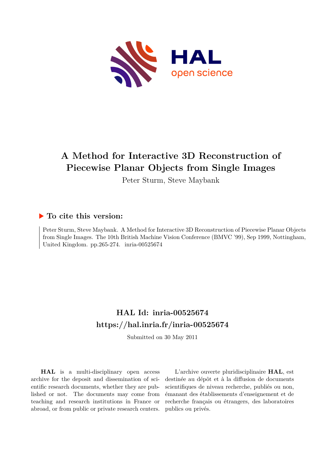

# **A Method for Interactive 3D Reconstruction of Piecewise Planar Objects from Single Images**

Peter Sturm, Steve Maybank

## **To cite this version:**

Peter Sturm, Steve Maybank. A Method for Interactive 3D Reconstruction of Piecewise Planar Objects from Single Images. The 10th British Machine Vision Conference (BMVC '99), Sep 1999, Nottingham, United Kingdom. pp.265-274.  $inria-00525674$ 

## **HAL Id: inria-00525674 <https://hal.inria.fr/inria-00525674>**

Submitted on 30 May 2011

**HAL** is a multi-disciplinary open access archive for the deposit and dissemination of scientific research documents, whether they are published or not. The documents may come from teaching and research institutions in France or abroad, or from public or private research centers.

L'archive ouverte pluridisciplinaire **HAL**, est destinée au dépôt et à la diffusion de documents scientifiques de niveau recherche, publiés ou non, émanant des établissements d'enseignement et de recherche français ou étrangers, des laboratoires publics ou privés.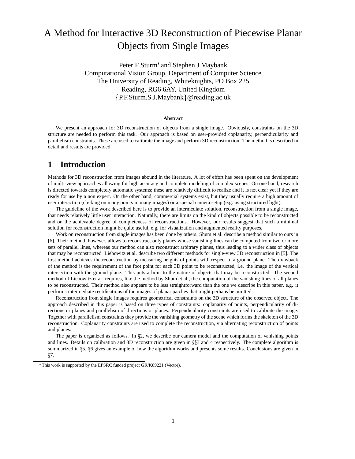# A Method for Interactive 3D Reconstruction of Piecewise Planar Objects from Single Images

Peter F Sturm<sup>\*</sup> and Stephen J Maybank Computational Vision Group, Department of Computer Science The University of Reading, Whiteknights, PO Box 225 Reading, RG6 6AY, United Kingdom {P.F.Sturm,S.J.Maybank} @reading.ac.uk

#### **Abstract**

We present an approach for 3D reconstruction of objects from a single image. Obviously, constraints on the 3D structure are needed to perform this task. Our approach is based on user-provided coplanarity, perpendicularity and parallelism constraints. These are used to calibrate the image and perform 3D reconstruction. The method is described in detail and results are provided.

## **1 Introduction**

Methods for 3D reconstruction from images abound in the literature. A lot of effort has been spent on the development of multi-view approaches allowing for high accuracy and complete modeling of complex scenes. On one hand, research is directed towards completely automatic systems; these are relatively difficult to realize and it is not clear yet if they are ready for use by a non expert. On the other hand, commercial systems exist, but they usually require a high amount of user interaction (clicking on many points in many images) or a special camera setup (e.g. using structured light).

The guideline of the work described here is to provide an intermediate solution, reconstruction from a single image, that needs relatively little user interaction. Naturally, there are limits on the kind of objects possible to be reconstructed and on the achievable degree of completeness of reconstructions. However, our results suggest that such a minimal solution for reconstruction might be quite useful, e.g. for visualization and augmented reality purposes.

Work on reconstruction from single images has been done by others. Shum et al. describe a method similar to ours in [6]. Their method, however, allows to reconstruct only planes whose vanishing lines can be computed from two or more sets of parallel lines, whereas our method can also reconstruct arbitrary planes, thus leading to a wider class of objects that may be reconstructed. Liebowitz et al. describe two different methods for single-view 3D reconstruction in [5]. The first method achieves the reconstruction by measuring heights of points with respect to a ground plane. The drawback of the method is the requirement of the foot point for each 3D point to be reconstructed, i.e. the image of the vertical intersection with the ground plane. This puts a limit to the nature of objects that may be reconstructed. The second method of Liebowitz et al. requires, like the method by Shum et al., the computation of the vanishing lines of all planes to be reconstructed. Their method also appears to be less straightforward than the one we describe in this paper, e.g. it performs intermediate rectifications of the images of planar patches that might perhaps be omitted.

Reconstruction from single images requires geometrical constraints on the 3D structure of the observed object. The approach described in this paper is based on three types of constraints: coplanarity of points, perpendicularity of directions or planes and parallelism of directions or planes. Perpendicularity constraints are used to calibrate the image. Together with parallelism constraints they provide the vanishing geometry of the scene which forms the skeleton of the 3D reconstruction. Coplanarity constraints are used to complete the reconstruction, via alternating reconstruction of points and planes.

The paper is organized as follows. In  $\S$ 2, we describe our camera model and the computation of vanishing points and lines. Details on calibration and 3D reconstruction are given in  $\S$ §3 and 4 respectively. The complete algorithm is summarized in §5. §6 gives an example of how the algorithm works and presents some results. Conclusions are given in  $§7.$ 

This work is supported by the EPSRC funded project GR/K89221 (Vector).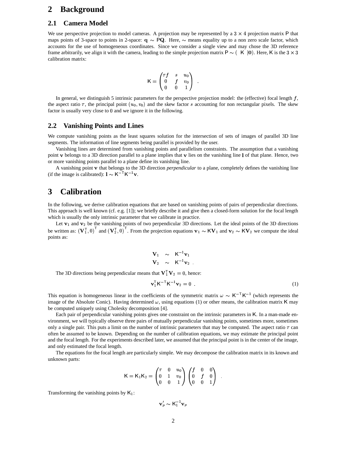#### **2 Background**

#### **2.1 Camera Model**

We use perspective projection to model cameras. A projection may be represented by a  $3 \times 4$  projection matrix P that maps points of 3-space to points in 2-space:  $q \sim PQ$ . Here,  $\sim$  means equality up to a non zero scale factor, which accounts for the use of homogeneous coordinates. Since we consider a single view and may chose the 3D reference frame arbitrarily, we align it with the camera, leading to the simple projection matrix  $P \sim (K | 0)$ . Here, K is the  $3 \times 3$ calibration matrix:

$$
{\mathsf K} = \begin{pmatrix} \tau f & s & u_0 \\ 0 & f & v_0 \\ 0 & 0 & 1 \end{pmatrix} \quad .
$$

In general, we distinguish 5 intrinsic parameters for the perspective projection model: the (effective) focal length  $f$ , the aspect ratio  $\tau$ , the principal point  $(u_0, v_0)$  and the skew factor s accounting for non rectangular pixels. The skew factor is usually very close to 0 and we ignore it in the following.

#### **2.2 Vanishing Points and Lines**

We compute vanishing points as the least squares solution for the intersection of sets of images of parallel 3D line segments. The information of line segments being parallel is provided by the user.

Vanishing lines are determined from vanishing points and parallelism constraints. The assumption that a vanishing point v belongs to a 3D direction parallel to a plane implies that v lies on the vanishing line 1 of that plane. Hence, two or more vanishing points parallel to a plane define its vanishing line.

A vanishing point v that belongs to the 3D direction *perpendicular* to a plane, completely defines the vanishing line (if the image is calibrated):  $1 \sim K^{-T} K^{-1} v$ .

### **3 Calibration**

In the following, we derive calibration equations that are based on vanishing points of pairs of perpendicular directions. This approach is well known (cf. e.g. [1]); we briefly describe it and give then a closed-form solution for the focal length which is usually the only intrinsic parameter that we calibrate in practice.

Let  $v_1$  and  $v_2$  be the vanishing points of two perpendicular 3D directions. Let the ideal points of the 3D directions be written as:  $(\mathbf{V}_1^T, 0)$  and  $(\mathbf{V}_2^T, 0)$ . From the projection equations  $\mathbf{v}_1 \sim K\mathbf{V}_1$  and  $\mathbf{v}_2 \sim K\mathbf{V}_2$  we compute the ideal points as:

$$
\begin{array}{ccc}\n\mathbf{V}_1 & \sim & \mathsf{K}^{-1}\mathbf{v}_1 \\
\mathbf{V}_2 & \sim & \mathsf{K}^{-1}\mathbf{v}_2\n\end{array}
$$

The 3D directions being perpendicular means that  ${\bf V}_1^{\dagger} {\bf V}_2 = 0$ , hence:

$$
\mathbf{v}_1^{\mathsf{T}} \mathbf{K}^{-\mathsf{T}} \mathbf{K}^{-1} \mathbf{v}_2 = 0 \tag{1}
$$

This equation is homogeneous linear in the coefficients of the symmetric matrix  $\omega \sim K^{-T} K^{-1}$  (which represents the image of the Absolute Conic). Having determined  $\omega$ , using equations (1) or other means, the calibration matrix K may be computed uniquely using Cholesky decomposition [4].

Each pair of perpendicular vanishing points gives one constraint on the intrinsic parameters in K. In a man-made environment, we will typically observe three pairs of mutually perpendicular vanishing points, sometimes more, sometimes only a single pair. This puts a limit on the number of intrinsic parameters that may be computed. The aspect ratio  $\tau$  can often be assumed to be known. Depending on the number of calibration equations, we may estimate the principal point and the focal length. For the experiments described later, we assumed that the principal point is in the center of the image, and only estimated the focal length.

The equations for the focal length are particularly simple. We may decompose the calibration matrix in its known and unknown parts:

%&F

$$
K = K_1 K_2 = \begin{pmatrix} \tau & 0 & u_0 \\ 0 & 1 & v_0 \\ 0 & 0 & 1 \end{pmatrix} \begin{pmatrix} f & 0 & 0 \\ 0 & f & 0 \\ 0 & 0 & 1 \end{pmatrix} .
$$

Transforming the vanishing points by  $K_1$ :

$$
\mathbf{v}'_p \thicksim \mathsf{K}_1^{-1} \mathbf{v}_p
$$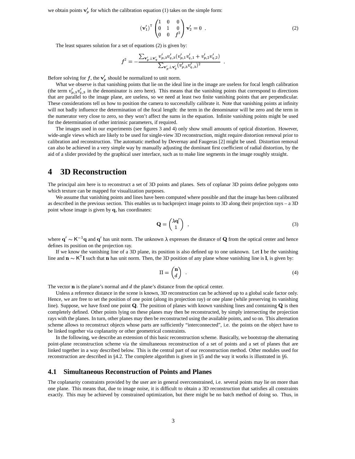we obtain points  $\mathbf{v}'_n$  for which the calibration equation (1) takes on the simple form:

$$
\left(\mathbf{v}_{1}^{\prime}\right)^{\mathsf{T}}\begin{pmatrix} 1 & 0 & 0 \\ 0 & 1 & 0 \\ 0 & 0 & f^{2} \end{pmatrix}\mathbf{v}_{2}^{\prime} = 0 . \tag{2}
$$

'

The least squares solution for a set of equations (2) is given by:

$$
f^2 = -\frac{\sum_{\mathbf{v}'_p \perp \mathbf{v}'_q} v'_{p,3} v'_{q,3} (v'_{p,1} v'_{q,1} + v'_{p,2} v'_{q,2})}{\sum_{\mathbf{v}'_p \perp \mathbf{v}'_q} (v'_{p,3} v'_{q,3})^2}.
$$

Before solving for f, the  $\mathbf{v}'_p$  should be normalized to unit norm.

What we observe is that vanishing points that lie on the ideal line in the image are useless for focal length calibration (the term  $v'_b, v'_b, v'_d$ , in the denominator is zero here). This means that the vanishing points that correspond to directions that are parallel to the image plane, are useless, so we need at least two finite vanishing points that are perpendicular. These considerations tell us how to position the camera to successfully calibrate it. Note that vanishing points at infinity will not badly influence the determination of the focal length: the term in the denominator will be zero and the term in the numerator very close to zero, so they won't affect the sums in the equation. Infinite vanishing points might be used for the determination of other intrinsic parameters, if required.

The images used in our experiments (see figures 3 and 4) only show small amounts of optical distortion. However, wide-angle views which are likely to be used for single-view 3D reconstruction, might require distortion removal prior to calibration and reconstruction. The automatic method by Devernay and Faugeras [2] might be used. Distortion removal can also be achieved in a very simple way by manually adjusting the dominant first coefficient of radial distortion, by the aid of a slider provided by the graphical user interface, such as to make line segments in the image roughly straight.

### **4 3D Reconstruction**

The principal aim here is to reconstruct a set of 3D points and planes. Sets of coplanar 3D points define polygons onto which texture can be mapped for visualization purposes.

We assume that vanishing points and lines have been computed where possible and that the image has been calibrated as described in the previous section. This enables us to backproject image points to 3D along their projection rays – a 3D point whose image is given by  $q$ , has coordinates:

$$
\mathbf{Q} = \begin{pmatrix} \lambda \mathbf{q}' \\ 1 \end{pmatrix} , \tag{3}
$$

where  $q' \sim K^{-1}q$  and  $q'$  has unit norm. The unknown  $\lambda$  expresses the distance of Q from the optical center and hence defines its position on the projection ray.

If we know the vanishing line of a 3D plane, its position is also defined up to one unknown. Let I be the vanishing line and  $\mathbf{n} \sim K^{\top}$ l such that  $\mathbf{n}$  has unit norm. Then, the 3D position of any plane whose vanishing line is 1, is given by:

$$
\Pi = \begin{pmatrix} \mathbf{n} \\ d \end{pmatrix} \tag{4}
$$

The vector  $\bf{n}$  is the plane's normal and  $d$  the plane's distance from the optical center.

Unless a reference distance in the scene is known, 3D reconstruction can be achieved up to a global scale factor only. Hence, we are free to set the position of one point (along its projection ray) or one plane (while preserving its vanishing line). Suppose, we have fixed one point Q. The position of planes with known vanishing lines and containing  $Q$  is then completely defined. Other points lying on these planes may then be reconstructed, by simply intersecting the projection rays with the planes. In turn, other planes may then be reconstructed using the available points, and so on. This alternation scheme allows to reconstruct objects whose parts are sufficiently "interconnected", i.e. the points on the object have to be linked together via coplanarity or other geometrical constraints.

In the following, we describe an extension of this basic reconstruction scheme. Basically, we bootstrap the alternating point-plane reconstruction scheme via the simultaneous reconstruction of a set of points and a set of planes that are linked together in a way described below. This is the central part of our reconstruction method. Other modules used for reconstruction are described in  $\S 4.2$ . The complete algorithm is given in  $\S 5$  and the way it works is illustrated in  $\S 6$ .

#### **4.1 Simultaneous Reconstruction of Points and Planes**

The coplanarity constraints provided by the user are in general overconstrained, i.e. several points may lie on more than one plane. This means that, due to image noise, it is difficult to obtain a 3D reconstruction that satisfies all constraints exactly. This may be achieved by constrained optimization, but there might be no batch method of doing so. Thus, in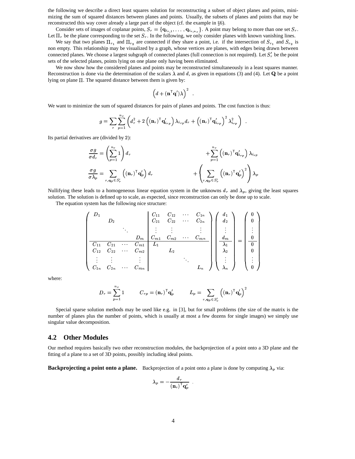the following we describe a direct least squares solution for reconstructing a subset of object planes and points, minimizing the sum of squared distances between planes and points. Usually, the subsets of planes and points that may be reconstructed this way cover already a large part of the object (cf. the example in §6).<br>Consider sets of images of coplanar points,  $S_r = {\mathbf{a}_i, \dots, \mathbf{a}_i}$ . A point may b

Consider sets of images of coplanar points,  $S_r = \{q_{i_{r,1}}, \ldots, q_{i_{r,n_r}}\}$ . A point may belong to more than one set  $S_r$ . Let  $\Pi_r$  be the plane corresponding to the set  $S_r$ . In the following, we only consider planes with known vanishing lines.

We say that two planes  $\Pi_{r_1}$  and  $\Pi_{r_2}$  are connected if they share a point, i.e. if the intersection of  $S_{r_1}$  and  $S_{r_2}$  is non empty. This relationship may be visualized by a graph, whose vertices are planes, with edges being drawn between connected planes. We choose a largest subgraph of connected planes (full connection is not required). Let  $S'_r$  be the point sets of the selected planes, points lying on one plane only having been eliminated.

We now show how the considered planes and points may be reconstructed simultaneously in a least squares manner. Reconstruction is done via the determination of the scalars  $\lambda$  and d, as given in equations (3) and (4). Let **Q** be a point lying on plane  $\Pi$ . The squared distance between them is given by:

$$
\left(d+(\mathbf{n}^\mathsf{T}\mathbf{q}')\lambda\right)^2\enspace.
$$

'

We want to minimize the sum of squared distances for pairs of planes and points. The cost function is thus:

$$
g = \sum_{r} \sum_{p=1}^{n_r} \left( d_r^2 + 2 \left( (\mathbf{n}_r)^{\mathsf{T}} \mathbf{q}'_{i_{rp}} \right) \lambda_{i_{rp}} d_r + \left( (\mathbf{n}_r)^{\mathsf{T}} \mathbf{q}'_{i_{rp}} \right)^2 \lambda_{i_{rp}}^2 \right) .
$$

Its partial derivatives are (divided by 2):

$$
\frac{\sigma g}{\sigma d_r} = \left(\sum_{p=1}^{n_r} 1\right) d_r\n+ \sum_{p=1}^{n_r} \left( (\mathbf{n}_r)^{\mathsf{T}} \mathbf{q}'_{i_{rp}} \right) \lambda_{i_{rp}}\n+ \sum_{p=1}^{n_r} \left( (\mathbf{n}_r)^{\mathsf{T}} \mathbf{q}'_{i_{rp}} \right) \lambda_{i_{rp}}\n+ \left( \sum_{r, \mathbf{q}_p \in S'_r} \left( (\mathbf{n}_r)^{\mathsf{T}} \mathbf{q}'_{p} \right)^2 \right) \lambda_p
$$

Nullifying these leads to a homogeneous linear equation system in the unknowns  $d_r$  and  $\lambda_p$ , giving the least squares solution. The solution is defined up to scale, as expected, since reconstruction can only be done up to scale.

The equation system has the following nice structure:

$$
\begin{pmatrix}\nD_1 & & & & & C_{11} & C_{12} & \cdots & C_{1n} \\
D_2 & & & & C_{21} & C_{22} & \cdots & C_{2n} \\
\vdots & \vdots & \vdots & & & \vdots \\
D_m & C_{m1} & C_{m2} & \cdots & C_{mn} \\
\hline\nC_{11} & C_{21} & \cdots & C_{m1} & L_1 & L_2 & & & \\
C_{12} & C_{22} & \cdots & C_{m2} & L_2 & & & \\
\vdots & \vdots & & & \vdots & & \ddots \\
C_{1n} & C_{2n} & \cdots & C_{mn} & & & & L_n\n\end{pmatrix}\n\begin{pmatrix}\nd_1 \\
d_2 \\
\vdots \\
d_m \\
\lambda_1 \\
\lambda_2 \\
\vdots \\
\lambda_n\n\end{pmatrix} = \n\begin{pmatrix}\n0 \\
0 \\
\vdots \\
0 \\
0 \\
\vdots \\
0\n\end{pmatrix}
$$

where:

$$
D_r = \sum_{p=1}^{n_r} 1 \hspace{1cm} C_{rp} = \left(\mathbf{n}_r\right)^{\mathsf{T}} \mathbf{q}_p' \hspace{1cm} L_p = \sum_{r, \mathbf{q}_p \in S_r'} \left((\mathbf{n}_r)^{\mathsf{T}} \mathbf{q}_p'\right)^2
$$

Special sparse solution methods may be used like e.g. in [3], but for small problems (the size of the matrix is the number of planes plus the number of points, which is usually at most a few dozens for single images) we simply use singular value decomposition.

#### **4.2 Other Modules**

Our method requires basically two other reconstruction modules, the backprojection of a point onto a 3D plane and the fitting of a plane to a set of 3D points, possibly including ideal points.

**Backprojecting a point onto a plane.** Backprojection of a point onto a plane is done by computing  $\lambda_p$  via:

$$
\lambda_p = - \frac{d_r}{\left(\mathbf{n}_r\right)^{\mathsf{T}} \mathbf{q}_p'} \enspace .
$$

.<br>.<br>.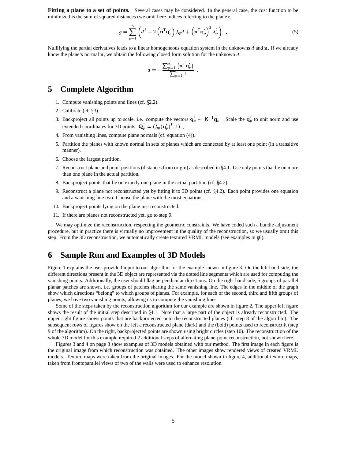**Fitting a plane to a set of points.** Several cases may be considered. In the general case, the cost function to be minimized is the sum of squared distances (we omit here indices referring to the plane):

$$
g = \sum_{p=1}^{n} \left( d^2 + 2 \left( \mathbf{n}^\top \mathbf{q}_p' \right) \lambda_p d + \left( \mathbf{n}^\top \mathbf{q}_p' \right)^2 \lambda_p^2 \right) . \tag{5}
$$

'

Nullifying the partial derivatives leads to a linear homogeneous equation system in the unknowns  $d$  and  $\mathbf n$ . If we already know the plane's normal  $\bf{n}$ , we obtain the following closed form solution for the unknown  $\bf{d}$ :

$$
d=-\frac{\sum_{p=1}^n\left(\mathbf{n}^\mathsf{T}\mathbf{q}_p'\right)}{\sum_{p=1}^n1}\enspace.
$$

## **5 Complete Algorithm**

- 1. Compute vanishing points and lines (cf.  $\S 2.2$ ).
- 2. Calibrate (cf.  $\S3$ ).
- 3. Backproject all points up to scale, i.e. compute the vectors  $\mathbf{q}'_p \sim K^{-1} \mathbf{q}_p$ . Scale the  $\mathbf{q}'_p$  to unit norm and use extended coordinates for 3D points:  $\mathbf{Q}_p^T = (\lambda_n(\mathbf{q}'_n)^T, 1)$ . extended coordinates for 3D points:  $\mathbf{Q}_p^{\top} = (\lambda_p(\mathbf{q}_p')^{\top}, 1)$ .
- 4. From vanishing lines, compute plane normals (cf. equation (4)).
- 5. Partition the planes with known normal in sets of planes which are connected by at least one point (in a transitive manner).
- 6. Choose the largest partition.
- 7. Reconstruct plane and point positions (distances from origin) as described in 4.1. Use only points that lie on more than one plane in the actual partition.
- 8. Backproject points that lie on exactly one plane in the actual partition (cf.  $\S 4.2$ ).
- 9. Reconstruct a plane not reconstructed yet by fitting it to 3D points (cf.  $\S 4.2$ ). Each point provides one equation and a vanishing line two. Choose the plane with the most equations.
- 10. Backproject points lying on the plane just reconstructed.
- 11. If there are planes not reconstructed yet, go to step 9.

We may optimize the reconstruction, respecting the geometric constraints. We have coded such a bundle adjustment procedure, but in practice there is virtually no improvement in the quality of the reconstruction, so we usually omit this step. From the 3D reconstruction, we automatically create textured VRML models (see examples in  $\S6$ ).

### **6 Sample Run and Examples of 3D Models**

Figure 1 explains the user-provided input to our algorithm for the example shown in figure 3. On the left hand side, the different directions present in the 3D object are represented via the dotted line segments which are used for computing the vanishing points. Additionally, the user should flag perpendicular directions. On the right hand side, 5 groups of parallel planar patches are shown, i.e. groups of patches sharing the same vanishing line. The edges in the middle of the graph show which directions "belong" to which groups of planes. For example, for each of the second, third and fifth groups of planes, we have two vanishing points, allowing us to compute the vanishing lines.

Some of the steps taken by the reconstruction algorithm for our example are shown in figure 2. The upper left figure shows the result of the initial step described in 4.1. Note that a large part of the object is already reconstructed. The upper right figure shows points that are backprojected onto the reconstructed planes (cf. step 8 of the algorithm). The subsequent rows of figures show on the left a reconstructed plane (dark) and the (bold) points used to reconstruct it (step 9 of the algorithm). On the right, backprojected points are shown using bright circles (step 10). The reconstruction of the whole 3D model for this example required 2 additional steps of alternating plane-point reconstruction, not shown here.

Figures 3 and 4 on page 8 show examples of 3D models obtained with our method. The first image in each figure is the original image from which reconstruction was obtained. The other images show rendered views of created VRML models. Texture maps were taken from the original images. For the model shown in figure 4, additional texture maps, taken from frontoparallel views of two of the walls were used to enhance resolution.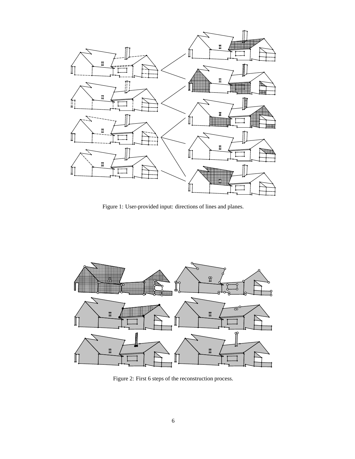

Figure 1: User-provided input: directions of lines and planes.



Figure 2: First 6 steps of the reconstruction process.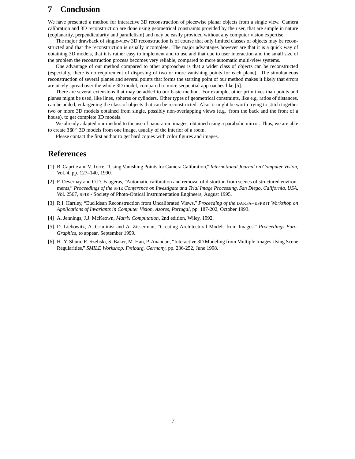## **7 Conclusion**

We have presented a method for interactive 3D reconstruction of piecewise planar objects from a single view. Camera calibration and 3D reconstruction are done using geometrical constraints provided by the user, that are simple in nature (coplanarity, perpendicularity and parallelism) and may be easily provided without any computer vision expertise.

The major drawback of single-view 3D reconstruction is of course that only limited classes of objects may be reconstructed and that the reconstruction is usually incomplete. The major advantages however are that it is a quick way of obtaining 3D models, that it is rather easy to implement and to use and that due to user interaction and the small size of the problem the reconstruction process becomes very reliable, compared to more automatic multi-view systems.

One advantage of our method compared to other approaches is that a wider class of objects can be reconstructed (especially, there is no requirement of disposing of two or more vanishing points for each plane). The simultaneous reconstruction of several planes and several points that forms the starting point of our method makes it likely that errors are nicely spread over the whole 3D model, compared to more sequential approaches like [5].

There are several extensions that may be added to our basic method. For example, other primitives than points and planes might be used, like lines, spheres or cylinders. Other types of geometrical constraints, like e.g. ratios of distances, can be added, enlargening the class of objects that can be reconstructed. Also, it might be worth trying to stitch together two or more 3D models obtained from single, possibly non-overlapping views (e.g. from the back and the front of a house), to get complete 3D models.

We already adapted our method to the use of panoramic images, obtained using a parabolic mirror. Thus, we are able to create  $360^{\circ}$  3D models from one image, usually of the interior of a room.

Please contact the first author to get hard copies with color figures and images.

## **References**

- [1] B. Caprile and V. Torre, "Using Vanishing Points for Camera Calibration," *International Journal on Computer Vision*, Vol. 4, pp. 127–140, 1990.
- [2] F. Devernay and O.D. Faugeras, "Automatic calibration and removal of distortion from scenes of structured environments," *Proceedings of the* SPIE *Conference on Investigate and Trial Image Processing, San Diego, California, USA*, Vol. 2567, SPIE - Society of Photo-Optical Instrumentation Engineers, August 1995.
- [3] R.I. Hartley, "Euclidean Reconstruction from Uncalibrated Views," *Proceeding of the* DARPA–ESPRIT *Workshop on Applications of Invariants in Computer Vision, Azores, Portugal*, pp. 187-202, October 1993.
- [4] A. Jennings, J.J. McKeown, *Matrix Computation,* 2nd edition, Wiley, 1992.
- [5] D. Liebowitz, A. Criminisi and A. Zisserman, "Creating Architectural Models from Images," *Proceedings Euro-Graphics*, to appear, September 1999.
- [6] H.-Y. Shum, R. Szeliski, S. Baker, M. Han, P. Anandan, "Interactive 3D Modeling from Multiple Images Using Scene Regularities," *SMILE Workshop, Freiburg, Germany*, pp. 236-252, June 1998.